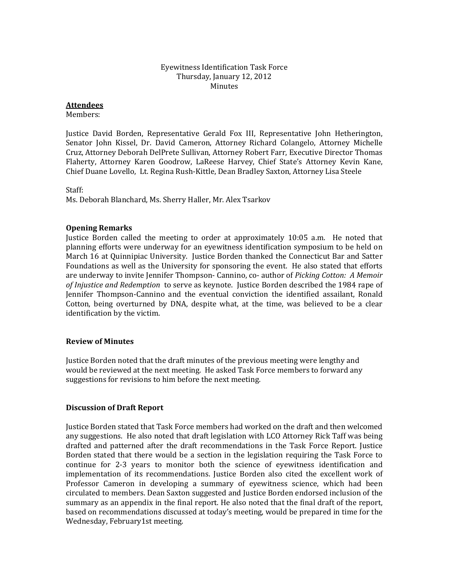#### Eyewitness Identification Task Force Thursday, January 12, 2012 Minutes

## **Attendees**

Members:

Justice David Borden, Representative Gerald Fox III, Representative John Hetherington, Senator John Kissel, Dr. David Cameron, Attorney Richard Colangelo, Attorney Michelle Cruz, Attorney Deborah DelPrete Sullivan, Attorney Robert Farr, Executive Director Thomas Flaherty, Attorney Karen Goodrow, LaReese Harvey, Chief State's Attorney Kevin Kane, Chief Duane Lovello, Lt. Regina Rush‐Kittle, Dean Bradley Saxton, Attorney Lisa Steele

Staff:

Ms. Deborah Blanchard, Ms. Sherry Haller, Mr. Alex Tsarkov

### **Opening Remarks**

Justice Borden called the meeting to order at approximately  $10:05$  a.m. He noted that planning efforts were underway for an eyewitness identification symposium to be held on March 16 at Quinnipiac University. Justice Borden thanked the Connecticut Bar and Satter Foundations as well as the University for sponsoring the event. He also stated that efforts are underway to invite Jennifer Thompson‐ Cannino, co‐ author of *Picking Cotton: A Memoir of Injustice and Redemption* to serve as keynote. Justice Borden described the 1984 rape of Jennifer Thompson‐Cannino and the eventual conviction the identified assailant, Ronald Cotton, being overturned by DNA, despite what, at the time, was believed to be a clear identification by the victim.

### **Review of Minutes**

Justice Borden noted that the draft minutes of the previous meeting were lengthy and would be reviewed at the next meeting. He asked Task Force members to forward any suggestions for revisions to him before the next meeting.

# **Discussion of Draft Report**

Justice Borden stated that Task Force members had worked on the draft and then welcomed any suggestions. He also noted that draft legislation with LCO Attorney Rick Taff was being drafted and patterned after the draft recommendations in the Task Force Report. Justice Borden stated that there would be a section in the legislation requiring the Task Force to continue for 2-3 years to monitor both the science of eyewitness identification and implementation of its recommendations. Justice Borden also cited the excellent work of Professor Cameron in developing a summary of eyewitness science, which had been circulated to members. Dean Saxton suggested and Justice Borden endorsed inclusion of the summary as an appendix in the final report. He also noted that the final draft of the report, based on recommendations discussed at today's meeting, would be prepared in time for the Wednesday, February1st meeting.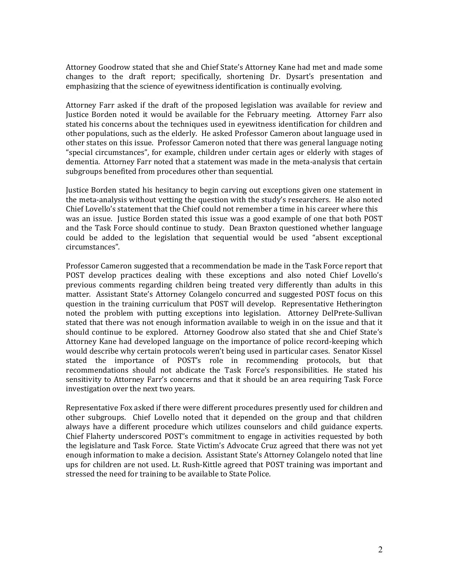Attorney Goodrow stated that she and Chief State's Attorney Kane had met and made some changes to the draft report; specifically, shortening Dr. Dysart's presentation and emphasizing that the science of eyewitness identification is continually evolving.

Attorney Farr asked if the draft of the proposed legislation was available for review and Justice Borden noted it would be available for the February meeting. Attorney Farr also stated his concerns about the techniques used in eyewitness identification for children and other populations, such as the elderly. He asked Professor Cameron about language used in other states on this issue. Professor Cameron noted that there was general language noting "special circumstances", for example, children under certain ages or elderly with stages of dementia. Attorney Farr noted that a statement was made in the meta-analysis that certain subgroups benefited from procedures other than sequential.

Justice Borden stated his hesitancy to begin carving out exceptions given one statement in the meta-analysis without vetting the question with the study's researchers. He also noted Chief Lovello's statement that the Chief could not remember a time in his career where this was an issue. Justice Borden stated this issue was a good example of one that both POST and the Task Force should continue to study. Dean Braxton questioned whether language could be added to the legislation that sequential would be used "absent exceptional circumstances".

Professor Cameron suggested that a recommendation be made in the Task Force report that POST develop practices dealing with these exceptions and also noted Chief Lovello's previous comments regarding children being treated very differently than adults in this matter. Assistant State's Attorney Colangelo concurred and suggested POST focus on this question in the training curriculum that POST will develop. Representative Hetherington noted the problem with putting exceptions into legislation. Attorney DelPrete-Sullivan stated that there was not enough information available to weigh in on the issue and that it should continue to be explored. Attorney Goodrow also stated that she and Chief State's Attorney Kane had developed language on the importance of police record‐keeping which would describe why certain protocols weren't being used in particular cases. Senator Kissel stated the importance of POST's role in recommending protocols, but that recommendations should not abdicate the Task Force's responsibilities. He stated his sensitivity to Attorney Farr's concerns and that it should be an area requiring Task Force investigation over the next two years.

Representative Fox asked if there were different procedures presently used for children and other subgroups. Chief Lovello noted that it depended on the group and that children always have a different procedure which utilizes counselors and child guidance experts. Chief Flaherty underscored POST's commitment to engage in activities requested by both the legislature and Task Force. State Victim's Advocate Cruz agreed that there was not yet enough information to make a decision. Assistant State's Attorney Colangelo noted that line ups for children are not used. Lt. Rush-Kittle agreed that POST training was important and tressed the need for training to be available to State Police. s